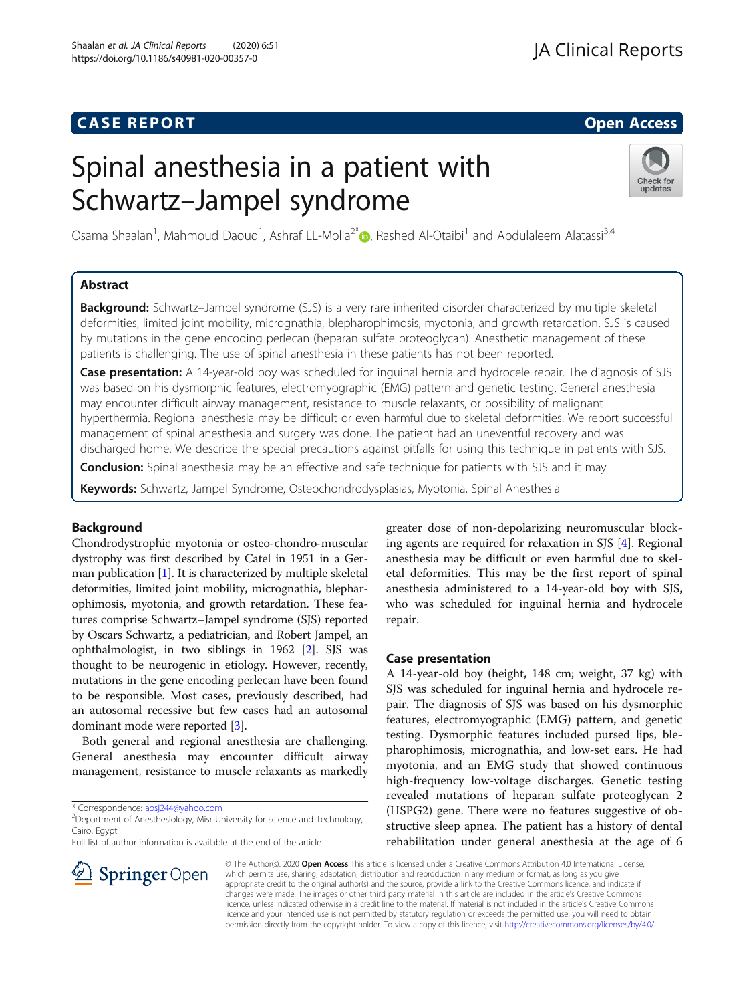# **CASE REPORT And SERVICE SERVICE SERVICE SERVICE SERVICE SERVICE SERVICE SERVICE SERVICE SERVICE SERVICE SERVICE**

# Spinal anesthesia in a patient with Schwartz–Jampel syndrome



Osama Shaalan<sup>1</sup>, Mahmoud Daoud<sup>1</sup>, Ashraf EL-Molla<sup>2[\\*](http://orcid.org/0000-0002-6361-7943)</sup> (D, Rashed Al-Otaibi<sup>1</sup> and Abdulaleem Alatassi<sup>3,4</sup>

# Abstract

Background: Schwartz–Jampel syndrome (SJS) is a very rare inherited disorder characterized by multiple skeletal deformities, limited joint mobility, micrognathia, blepharophimosis, myotonia, and growth retardation. SJS is caused by mutations in the gene encoding perlecan (heparan sulfate proteoglycan). Anesthetic management of these patients is challenging. The use of spinal anesthesia in these patients has not been reported.

Case presentation: A 14-year-old boy was scheduled for inguinal hernia and hydrocele repair. The diagnosis of SJS was based on his dysmorphic features, electromyographic (EMG) pattern and genetic testing. General anesthesia may encounter difficult airway management, resistance to muscle relaxants, or possibility of malignant hyperthermia. Regional anesthesia may be difficult or even harmful due to skeletal deformities. We report successful management of spinal anesthesia and surgery was done. The patient had an uneventful recovery and was discharged home. We describe the special precautions against pitfalls for using this technique in patients with SJS.

**Conclusion:** Spinal anesthesia may be an effective and safe technique for patients with SJS and it may

Keywords: Schwartz, Jampel Syndrome, Osteochondrodysplasias, Myotonia, Spinal Anesthesia

# Background

Chondrodystrophic myotonia or osteo-chondro-muscular dystrophy was first described by Catel in 1951 in a German publication [[1](#page-2-0)]. It is characterized by multiple skeletal deformities, limited joint mobility, micrognathia, blepharophimosis, myotonia, and growth retardation. These features comprise Schwartz–Jampel syndrome (SJS) reported by Oscars Schwartz, a pediatrician, and Robert Jampel, an ophthalmologist, in two siblings in 1962 [\[2](#page-2-0)]. SJS was thought to be neurogenic in etiology. However, recently, mutations in the gene encoding perlecan have been found to be responsible. Most cases, previously described, had an autosomal recessive but few cases had an autosomal dominant mode were reported [[3\]](#page-2-0).

Both general and regional anesthesia are challenging. General anesthesia may encounter difficult airway management, resistance to muscle relaxants as markedly

\* Correspondence: [aosj244@yahoo.com](mailto:aosj244@yahoo.com) <sup>2</sup>

 $\mathscr{L}$  Springer Open

<sup>2</sup>Department of Anesthesiology, Misr University for science and Technology, Cairo, Egypt

Full list of author information is available at the end of the article



# Case presentation

A 14-year-old boy (height, 148 cm; weight, 37 kg) with SJS was scheduled for inguinal hernia and hydrocele repair. The diagnosis of SJS was based on his dysmorphic features, electromyographic (EMG) pattern, and genetic testing. Dysmorphic features included pursed lips, blepharophimosis, micrognathia, and low-set ears. He had myotonia, and an EMG study that showed continuous high-frequency low-voltage discharges. Genetic testing revealed mutations of heparan sulfate proteoglycan 2 (HSPG2) gene. There were no features suggestive of obstructive sleep apnea. The patient has a history of dental rehabilitation under general anesthesia at the age of 6

© The Author(s). 2020 Open Access This article is licensed under a Creative Commons Attribution 4.0 International License, which permits use, sharing, adaptation, distribution and reproduction in any medium or format, as long as you give appropriate credit to the original author(s) and the source, provide a link to the Creative Commons licence, and indicate if changes were made. The images or other third party material in this article are included in the article's Creative Commons licence, unless indicated otherwise in a credit line to the material. If material is not included in the article's Creative Commons licence and your intended use is not permitted by statutory regulation or exceeds the permitted use, you will need to obtain permission directly from the copyright holder. To view a copy of this licence, visit <http://creativecommons.org/licenses/by/4.0/>.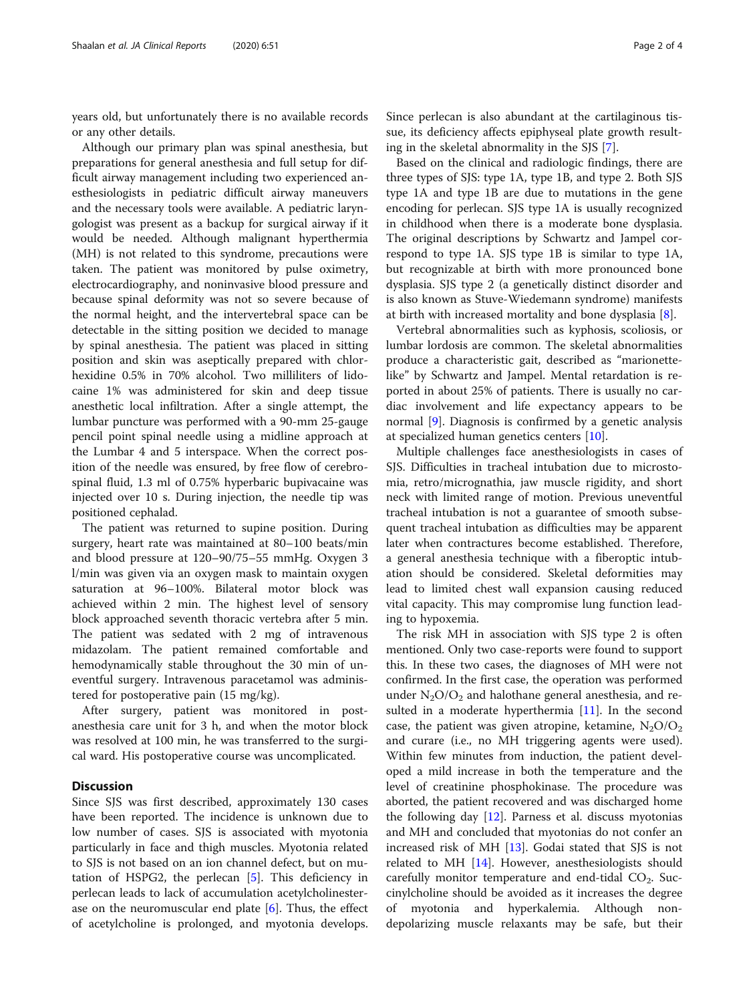years old, but unfortunately there is no available records or any other details.

Although our primary plan was spinal anesthesia, but preparations for general anesthesia and full setup for difficult airway management including two experienced anesthesiologists in pediatric difficult airway maneuvers and the necessary tools were available. A pediatric laryngologist was present as a backup for surgical airway if it would be needed. Although malignant hyperthermia (MH) is not related to this syndrome, precautions were taken. The patient was monitored by pulse oximetry, electrocardiography, and noninvasive blood pressure and because spinal deformity was not so severe because of the normal height, and the intervertebral space can be detectable in the sitting position we decided to manage by spinal anesthesia. The patient was placed in sitting position and skin was aseptically prepared with chlorhexidine 0.5% in 70% alcohol. Two milliliters of lidocaine 1% was administered for skin and deep tissue anesthetic local infiltration. After a single attempt, the lumbar puncture was performed with a 90-mm 25-gauge pencil point spinal needle using a midline approach at the Lumbar 4 and 5 interspace. When the correct position of the needle was ensured, by free flow of cerebrospinal fluid, 1.3 ml of 0.75% hyperbaric bupivacaine was injected over 10 s. During injection, the needle tip was positioned cephalad.

The patient was returned to supine position. During surgery, heart rate was maintained at 80–100 beats/min and blood pressure at 120–90/75–55 mmHg. Oxygen 3 l/min was given via an oxygen mask to maintain oxygen saturation at 96–100%. Bilateral motor block was achieved within 2 min. The highest level of sensory block approached seventh thoracic vertebra after 5 min. The patient was sedated with 2 mg of intravenous midazolam. The patient remained comfortable and hemodynamically stable throughout the 30 min of uneventful surgery. Intravenous paracetamol was administered for postoperative pain (15 mg/kg).

After surgery, patient was monitored in postanesthesia care unit for 3 h, and when the motor block was resolved at 100 min, he was transferred to the surgical ward. His postoperative course was uncomplicated.

# **Discussion**

Since SJS was first described, approximately 130 cases have been reported. The incidence is unknown due to low number of cases. SJS is associated with myotonia particularly in face and thigh muscles. Myotonia related to SJS is not based on an ion channel defect, but on mutation of HSPG2, the perlecan [[5\]](#page-2-0). This deficiency in perlecan leads to lack of accumulation acetylcholinesterase on the neuromuscular end plate  $[6]$  $[6]$ . Thus, the effect of acetylcholine is prolonged, and myotonia develops.

Since perlecan is also abundant at the cartilaginous tissue, its deficiency affects epiphyseal plate growth resulting in the skeletal abnormality in the SJS [\[7\]](#page-2-0).

Based on the clinical and radiologic findings, there are three types of SJS: type 1A, type 1B, and type 2. Both SJS type 1A and type 1B are due to mutations in the gene encoding for perlecan. SJS type 1A is usually recognized in childhood when there is a moderate bone dysplasia. The original descriptions by Schwartz and Jampel correspond to type 1A. SJS type 1B is similar to type 1A, but recognizable at birth with more pronounced bone dysplasia. SJS type 2 (a genetically distinct disorder and is also known as Stuve-Wiedemann syndrome) manifests at birth with increased mortality and bone dysplasia [[8](#page-2-0)].

Vertebral abnormalities such as kyphosis, scoliosis, or lumbar lordosis are common. The skeletal abnormalities produce a characteristic gait, described as "marionettelike" by Schwartz and Jampel. Mental retardation is reported in about 25% of patients. There is usually no cardiac involvement and life expectancy appears to be normal [[9\]](#page-2-0). Diagnosis is confirmed by a genetic analysis at specialized human genetics centers [[10](#page-2-0)].

Multiple challenges face anesthesiologists in cases of SJS. Difficulties in tracheal intubation due to microstomia, retro/micrognathia, jaw muscle rigidity, and short neck with limited range of motion. Previous uneventful tracheal intubation is not a guarantee of smooth subsequent tracheal intubation as difficulties may be apparent later when contractures become established. Therefore, a general anesthesia technique with a fiberoptic intubation should be considered. Skeletal deformities may lead to limited chest wall expansion causing reduced vital capacity. This may compromise lung function leading to hypoxemia.

The risk MH in association with SJS type 2 is often mentioned. Only two case-reports were found to support this. In these two cases, the diagnoses of MH were not confirmed. In the first case, the operation was performed under  $N_2O/O_2$  and halothane general anesthesia, and re-sulted in a moderate hyperthermia [\[11](#page-2-0)]. In the second case, the patient was given atropine, ketamine,  $N_2O/O_2$ and curare (i.e., no MH triggering agents were used). Within few minutes from induction, the patient developed a mild increase in both the temperature and the level of creatinine phosphokinase. The procedure was aborted, the patient recovered and was discharged home the following day [[12](#page-2-0)]. Parness et al. discuss myotonias and MH and concluded that myotonias do not confer an increased risk of MH [[13](#page-2-0)]. Godai stated that SJS is not related to MH [\[14\]](#page-2-0). However, anesthesiologists should carefully monitor temperature and end-tidal  $CO<sub>2</sub>$ . Succinylcholine should be avoided as it increases the degree of myotonia and hyperkalemia. Although nondepolarizing muscle relaxants may be safe, but their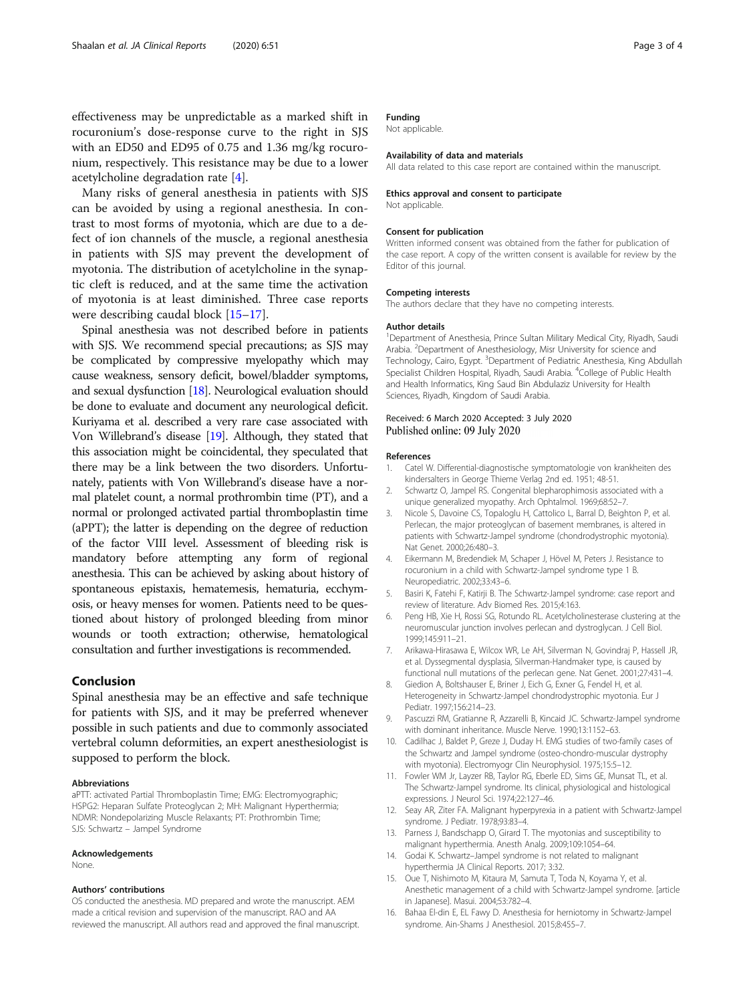<span id="page-2-0"></span>effectiveness may be unpredictable as a marked shift in rocuronium's dose-response curve to the right in SJS with an ED50 and ED95 of 0.75 and 1.36 mg/kg rocuronium, respectively. This resistance may be due to a lower acetylcholine degradation rate [4].

Many risks of general anesthesia in patients with SJS can be avoided by using a regional anesthesia. In contrast to most forms of myotonia, which are due to a defect of ion channels of the muscle, a regional anesthesia in patients with SJS may prevent the development of myotonia. The distribution of acetylcholine in the synaptic cleft is reduced, and at the same time the activation of myotonia is at least diminished. Three case reports were describing caudal block [15–[17\]](#page-3-0).

Spinal anesthesia was not described before in patients with SJS. We recommend special precautions; as SJS may be complicated by compressive myelopathy which may cause weakness, sensory deficit, bowel/bladder symptoms, and sexual dysfunction [\[18](#page-3-0)]. Neurological evaluation should be done to evaluate and document any neurological deficit. Kuriyama et al. described a very rare case associated with Von Willebrand's disease [\[19\]](#page-3-0). Although, they stated that this association might be coincidental, they speculated that there may be a link between the two disorders. Unfortunately, patients with Von Willebrand's disease have a normal platelet count, a normal prothrombin time (PT), and a normal or prolonged activated partial thromboplastin time (aPPT); the latter is depending on the degree of reduction of the factor VIII level. Assessment of bleeding risk is mandatory before attempting any form of regional anesthesia. This can be achieved by asking about history of spontaneous epistaxis, hematemesis, hematuria, ecchymosis, or heavy menses for women. Patients need to be questioned about history of prolonged bleeding from minor wounds or tooth extraction; otherwise, hematological consultation and further investigations is recommended.

## Conclusion

Spinal anesthesia may be an effective and safe technique for patients with SJS, and it may be preferred whenever possible in such patients and due to commonly associated vertebral column deformities, an expert anesthesiologist is supposed to perform the block.

#### Abbreviations

aPTT: activated Partial Thromboplastin Time; EMG: Electromyographic; HSPG2: Heparan Sulfate Proteoglycan 2; MH: Malignant Hyperthermia; NDMR: Nondepolarizing Muscle Relaxants; PT: Prothrombin Time; SJS: Schwartz – Jampel Syndrome

#### Acknowledgements

None.

#### Authors' contributions

OS conducted the anesthesia. MD prepared and wrote the manuscript. AEM made a critical revision and supervision of the manuscript. RAO and AA reviewed the manuscript. All authors read and approved the final manuscript.

# Funding

Not applicable.

#### Availability of data and materials

All data related to this case report are contained within the manuscript.

#### Ethics approval and consent to participate Not applicable.

# Consent for publication

Written informed consent was obtained from the father for publication of the case report. A copy of the written consent is available for review by the Editor of this journal.

#### Competing interests

The authors declare that they have no competing interests.

#### Author details

<sup>1</sup>Department of Anesthesia, Prince Sultan Military Medical City, Riyadh, Saudi Arabia. <sup>2</sup>Department of Anesthesiology, Misr University for science and Technology, Cairo, Egypt. <sup>3</sup>Department of Pediatric Anesthesia, King Abdullah Specialist Children Hospital, Riyadh, Saudi Arabia. <sup>4</sup>College of Public Health and Health Informatics, King Saud Bin Abdulaziz University for Health Sciences, Riyadh, Kingdom of Saudi Arabia.

## Received: 6 March 2020 Accepted: 3 July 2020 Published online: 09 July 2020

#### References

- 1. Catel W. Differential-diagnostische symptomatologie von krankheiten des kindersalters in George Thieme Verlag 2nd ed. 1951; 48-51.
- 2. Schwartz O, Jampel RS. Congenital blepharophimosis associated with a unique generalized myopathy. Arch Ophtalmol. 1969;68:52–7.
- 3. Nicole S, Davoine CS, Topaloglu H, Cattolico L, Barral D, Beighton P, et al. Perlecan, the major proteoglycan of basement membranes, is altered in patients with Schwartz-Jampel syndrome (chondrodystrophic myotonia). Nat Genet. 2000;26:480–3.
- 4. Eikermann M, Bredendiek M, Schaper J, Hövel M, Peters J. Resistance to rocuronium in a child with Schwartz-Jampel syndrome type 1 B. Neuropediatric. 2002;33:43–6.
- 5. Basiri K, Fatehi F, Katirji B. The Schwartz-Jampel syndrome: case report and review of literature. Adv Biomed Res. 2015;4:163.
- 6. Peng HB, Xie H, Rossi SG, Rotundo RL. Acetylcholinesterase clustering at the neuromuscular junction involves perlecan and dystroglycan. J Cell Biol. 1999;145:911–21.
- 7. Arikawa-Hirasawa E, Wilcox WR, Le AH, Silverman N, Govindraj P, Hassell JR, et al. Dyssegmental dysplasia, Silverman-Handmaker type, is caused by functional null mutations of the perlecan gene. Nat Genet. 2001;27:431–4.
- 8. Giedion A, Boltshauser E, Briner J, Eich G, Exner G, Fendel H, et al. Heterogeneity in Schwartz-Jampel chondrodystrophic myotonia. Eur J Pediatr. 1997;156:214–23.
- 9. Pascuzzi RM, Gratianne R, Azzarelli B, Kincaid JC. Schwartz-Jampel syndrome with dominant inheritance. Muscle Nerve. 1990;13:1152–63.
- 10. Cadilhac J, Baldet P, Greze J, Duday H. EMG studies of two-family cases of the Schwartz and Jampel syndrome (osteo-chondro-muscular dystrophy with myotonia). Electromyogr Clin Neurophysiol. 1975;15:5–12.
- 11. Fowler WM Jr, Layzer RB, Taylor RG, Eberle ED, Sims GE, Munsat TL, et al. The Schwartz-Jampel syndrome. Its clinical, physiological and histological expressions. J Neurol Sci. 1974;22:127–46.
- 12. Seay AR, Ziter FA. Malignant hyperpyrexia in a patient with Schwartz-Jampel syndrome. J Pediatr. 1978;93:83–4.
- 13. Parness J, Bandschapp O, Girard T. The myotonias and susceptibility to malignant hyperthermia. Anesth Analg. 2009;109:1054–64.
- 14. Godai K. Schwartz–Jampel syndrome is not related to malignant hyperthermia JA Clinical Reports. 2017; 3:32.
- 15. Oue T, Nishimoto M, Kitaura M, Samuta T, Toda N, Koyama Y, et al. Anesthetic management of a child with Schwartz-Jampel syndrome. [article in Japanese]. Masui. 2004;53:782–4.
- 16. Bahaa El-din E, EL Fawy D. Anesthesia for herniotomy in Schwartz-Jampel syndrome. Ain-Shams J Anesthesiol. 2015;8:455–7.